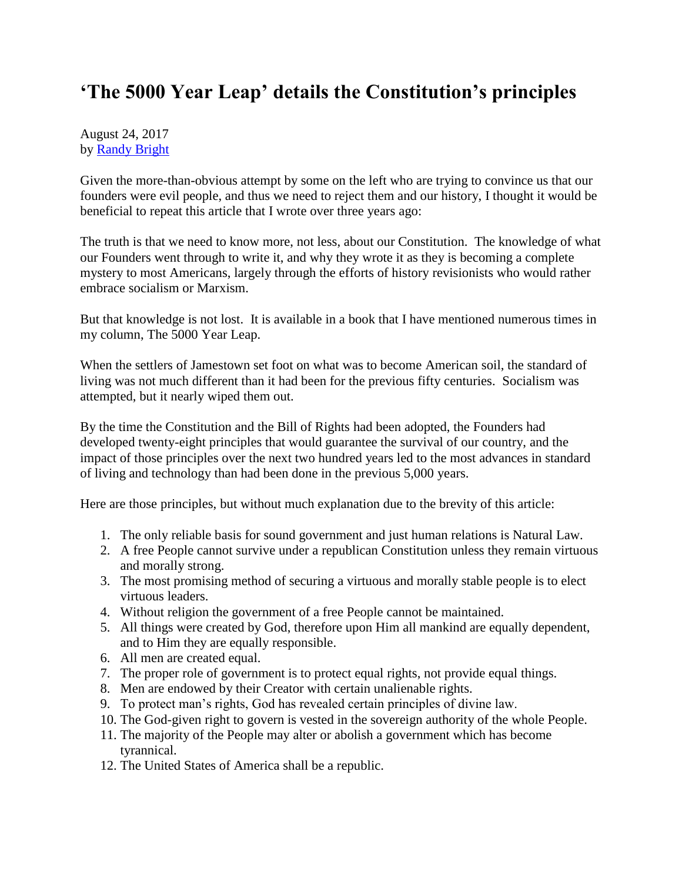## **'The 5000 Year Leap' details the Constitution's principles**

August 24, 2017 by [Randy Bright](http://tulsabeacon.com/writers/randy-bright/)

Given the more-than-obvious attempt by some on the left who are trying to convince us that our founders were evil people, and thus we need to reject them and our history, I thought it would be beneficial to repeat this article that I wrote over three years ago:

The truth is that we need to know more, not less, about our Constitution. The knowledge of what our Founders went through to write it, and why they wrote it as they is becoming a complete mystery to most Americans, largely through the efforts of history revisionists who would rather embrace socialism or Marxism.

But that knowledge is not lost. It is available in a book that I have mentioned numerous times in my column, The 5000 Year Leap.

When the settlers of Jamestown set foot on what was to become American soil, the standard of living was not much different than it had been for the previous fifty centuries. Socialism was attempted, but it nearly wiped them out.

By the time the Constitution and the Bill of Rights had been adopted, the Founders had developed twenty-eight principles that would guarantee the survival of our country, and the impact of those principles over the next two hundred years led to the most advances in standard of living and technology than had been done in the previous 5,000 years.

Here are those principles, but without much explanation due to the brevity of this article:

- 1. The only reliable basis for sound government and just human relations is Natural Law.
- 2. A free People cannot survive under a republican Constitution unless they remain virtuous and morally strong.
- 3. The most promising method of securing a virtuous and morally stable people is to elect virtuous leaders.
- 4. Without religion the government of a free People cannot be maintained.
- 5. All things were created by God, therefore upon Him all mankind are equally dependent, and to Him they are equally responsible.
- 6. All men are created equal.
- 7. The proper role of government is to protect equal rights, not provide equal things.
- 8. Men are endowed by their Creator with certain unalienable rights.
- 9. To protect man's rights, God has revealed certain principles of divine law.
- 10. The God-given right to govern is vested in the sovereign authority of the whole People.
- 11. The majority of the People may alter or abolish a government which has become tyrannical.
- 12. The United States of America shall be a republic.